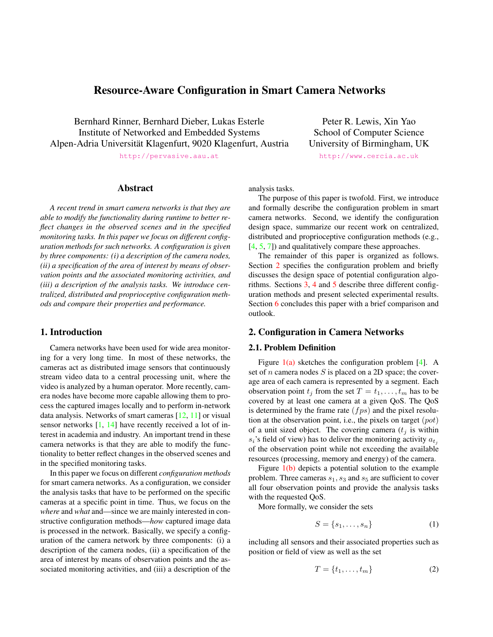# Resource-Aware Configuration in Smart Camera Networks

<span id="page-0-1"></span>Bernhard Rinner, Bernhard Dieber, Lukas Esterle Institute of Networked and Embedded Systems Alpen-Adria Universitat Klagenfurt, 9020 Klagenfurt, Austria ¨ <http://pervasive.aau.at>

Abstract

*A recent trend in smart camera networks is that they are able to modify the functionality during runtime to better reflect changes in the observed scenes and in the specified monitoring tasks. In this paper we focus on different configuration methods for such networks. A configuration is given by three components: (i) a description of the camera nodes, (ii) a specification of the area of interest by means of observation points and the associated monitoring activities, and (iii) a description of the analysis tasks. We introduce centralized, distributed and proprioceptive configuration methods and compare their properties and performance.*

## 1. Introduction

Camera networks have been used for wide area monitoring for a very long time. In most of these networks, the cameras act as distributed image sensors that continuously stream video data to a central processing unit, where the video is analyzed by a human operator. More recently, camera nodes have become more capable allowing them to process the captured images locally and to perform in-network data analysis. Networks of smart cameras [\[12,](#page-7-0) [11\]](#page-7-1) or visual sensor networks [\[1,](#page-7-2) [14\]](#page-7-3) have recently received a lot of interest in academia and industry. An important trend in these camera networks is that they are able to modify the functionality to better reflect changes in the observed scenes and in the specified monitoring tasks.

In this paper we focus on different *configuration methods* for smart camera networks. As a configuration, we consider the analysis tasks that have to be performed on the specific cameras at a specific point in time. Thus, we focus on the *where* and *what* and—since we are mainly interested in constructive configuration methods—*how* captured image data is processed in the network. Basically, we specify a configuration of the camera network by three components: (i) a description of the camera nodes, (ii) a specification of the area of interest by means of observation points and the associated monitoring activities, and (iii) a description of the analysis tasks.

The purpose of this paper is twofold. First, we introduce and formally describe the configuration problem in smart camera networks. Second, we identify the configuration design space, summarize our recent work on centralized, distributed and proprioceptive configuration methods (e.g.,  $[4, 5, 7]$  $[4, 5, 7]$  $[4, 5, 7]$  $[4, 5, 7]$  $[4, 5, 7]$  and qualitatively compare these approaches.

Peter R. Lewis, Xin Yao School of Computer Science University of Birmingham, UK <http://www.cercia.ac.uk>

The remainder of this paper is organized as follows. Section [2](#page-0-0) specifies the configuration problem and briefly discusses the design space of potential configuration algorithms. Sections [3,](#page-2-0) [4](#page-2-1) and [5](#page-3-0) describe three different configuration methods and present selected experimental results. Section [6](#page-7-7) concludes this paper with a brief comparison and outlook.

### <span id="page-0-0"></span>2. Configuration in Camera Networks

#### 2.1. Problem Definition

Figure  $1(a)$  sketches the configuration problem [\[4\]](#page-7-4). A set of  $n$  camera nodes  $S$  is placed on a 2D space; the coverage area of each camera is represented by a segment. Each observation point  $t_j$  from the set  $T = t_1, \ldots, t_m$  has to be covered by at least one camera at a given QoS. The QoS is determined by the frame rate  $(f \, p \, s)$  and the pixel resolution at the observation point, i.e., the pixels on target  $(pot)$ of a unit sized object. The covering camera  $(t<sub>i</sub>$  is within  $s_i$ 's field of view) has to deliver the monitoring activity  $a_{t_i}$ of the observation point while not exceeding the available resources (processing, memory and energy) of the camera.

Figure  $1(b)$  depicts a potential solution to the example problem. Three cameras  $s_1$ ,  $s_3$  and  $s_5$  are sufficient to cover all four observation points and provide the analysis tasks with the requested QoS.

More formally, we consider the sets

$$
S = \{s_1, \dots, s_n\} \tag{1}
$$

including all sensors and their associated properties such as position or field of view as well as the set

$$
T = \{t_1, \dots, t_m\} \tag{2}
$$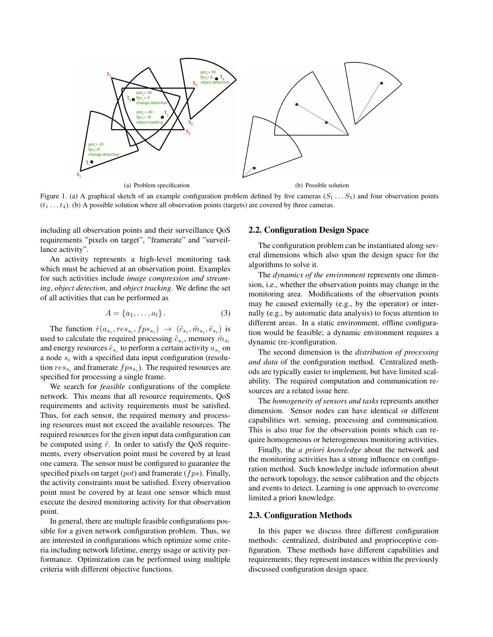<span id="page-1-0"></span>

(a) Problem specification (b) Possible solution

Figure 1. (a) A graphical sketch of an example configuration problem defined by five cameras  $(S_1 \dots S_5)$  and four observation points  $(t_1 \ldots t_4)$ . (b) A possible solution where all observation points (targets) are covered by three cameras.

including all observation points and their surveillance QoS requirements "pixels on target", "framerate" and "surveillance activity".

An activity represents a high-level monitoring task which must be achieved at an observation point. Examples for such activities include *image compression and streaming*, *object detection*, and *object tracking*. We define the set of all activities that can be performed as

$$
A = \{a_1, \ldots, a_l\}.
$$
 (3)

The function  $\tilde{r}(a_{s_i}, res_{s_i}, fps_{s_i}) \rightarrow (\tilde{c}_{s_i}, \tilde{m}_{s_i}, \tilde{e}_{s_i})$  is used to calculate the required processing  $\tilde{c}_{s_i}$ , memory  $\tilde{m}_{s_i}$ and energy resources  $\tilde{e}_{s_i}$  to perform a certain activity  $a_{s_i}$  on a node  $s_i$  with a specified data input configuration (resolution  $res_{s_i}$  and framerate  $fps_{s_i}$ ). The required resources are specified for processing a single frame.

We search for *feasible* configurations of the complete network. This means that all resource requirements, QoS requirements and activity requirements must be satisfied. Thus, for each sensor, the required memory and processing resources must not exceed the available resources. The required resources for the given input data configuration can be computed using  $\tilde{r}$ . In order to satisfy the QoS requirements, every observation point must be covered by at least one camera. The sensor must be configured to guarantee the specified pixels on target (*pot*) and framerate ( $fps$ ). Finally, the activity constraints must be satisfied. Every observation point must be covered by at least one sensor which must execute the desired monitoring activity for that observation point.

In general, there are multiple feasible configurations possible for a given network configuration problem. Thus, we are interested in configurations which optimize some criteria including network lifetime, energy usage or activity performance. Optimization can be performed using multiple criteria with different objective functions.

## <span id="page-1-1"></span>2.2. Configuration Design Space

The configuration problem can be instantiated along several dimensions which also span the design space for the algorithms to solve it.

The *dynamics of the environment* represents one dimension, i.e., whether the observation points may change in the monitoring area. Modifications of the observation points may be caused externally (e.g., by the operator) or internally (e.g., by automatic data analysis) to focus attention to different areas. In a static environment, offline configuration would be feasible; a dynamic environment requires a dynamic (re-)configuration.

The second dimension is the *distribution of processing and data* of the configuration method. Centralized methods are typically easier to implement, but have limited scalability. The required computation and communication resources are a related issue here.

The *homogeneity of sensors and tasks* represents another dimension. Sensor nodes can have identical or different capabilities wrt. sensing, processing and communication. This is also true for the observation points which can require homogeneous or heterogeneous monitoring activities.

Finally, the *a priori knowledge* about the network and the monitoring activities has a strong influence on configuration method. Such knowledge include information about the network topology, the sensor calibration and the objects and events to detect. Learning is one approach to overcome limited a priori knowledge.

### 2.3. Configuration Methods

In this paper we discuss three different configuration methods: centralized, distributed and proprioceptive configuration. These methods have different capabilities and requirements; they represent instances within the previously discussed configuration design space.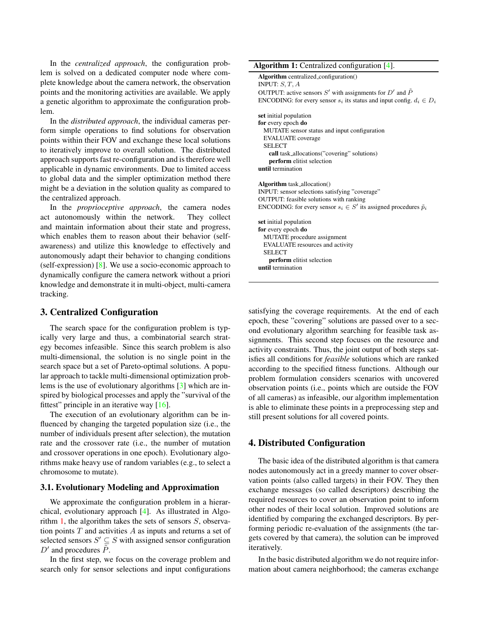<span id="page-2-3"></span>In the *centralized approach*, the configuration problem is solved on a dedicated computer node where complete knowledge about the camera network, the observation points and the monitoring activities are available. We apply a genetic algorithm to approximate the configuration problem.

In the *distributed approach*, the individual cameras perform simple operations to find solutions for observation points within their FOV and exchange these local solutions to iteratively improve to overall solution. The distributed approach supports fast re-configuration and is therefore well applicable in dynamic environments. Due to limited access to global data and the simpler optimization method there might be a deviation in the solution quality as compared to the centralized approach.

In the *proprioceptive approach*, the camera nodes act autonomously within the network. They collect and maintain information about their state and progress, which enables them to reason about their behavior (selfawareness) and utilize this knowledge to effectively and autonomously adapt their behavior to changing conditions (self-expression) [\[8\]](#page-7-8). We use a socio-economic approach to dynamically configure the camera network without a priori knowledge and demonstrate it in multi-object, multi-camera tracking.

## <span id="page-2-0"></span>3. Centralized Configuration

The search space for the configuration problem is typically very large and thus, a combinatorial search strategy becomes infeasible. Since this search problem is also multi-dimensional, the solution is no single point in the search space but a set of Pareto-optimal solutions. A popular approach to tackle multi-dimensional optimization problems is the use of evolutionary algorithms [\[3\]](#page-7-9) which are inspired by biological processes and apply the "survival of the fittest" principle in an iterative way  $[16]$ .

The execution of an evolutionary algorithm can be influenced by changing the targeted population size (i.e., the number of individuals present after selection), the mutation rate and the crossover rate (i.e., the number of mutation and crossover operations in one epoch). Evolutionary algorithms make heavy use of random variables (e.g., to select a chromosome to mutate).

### 3.1. Evolutionary Modeling and Approximation

We approximate the configuration problem in a hierarchical, evolutionary approach [\[4\]](#page-7-4). As illustrated in Algo-rithm [1,](#page-2-2) the algorithm takes the sets of sensors  $S$ , observation points  $T$  and activities  $A$  as inputs and returns a set of selected sensors  $S' \subseteq S$  with assigned sensor configuration  $D'$  and procedures  $\tilde{P}$ .

In the first step, we focus on the coverage problem and search only for sensor selections and input configurations

| <b>Algorithm 1:</b> Centralized configuration $[4]$ .                                |  |  |  |
|--------------------------------------------------------------------------------------|--|--|--|
| <b>Algorithm</b> centralized_configuration()                                         |  |  |  |
| INPUT: $S, T, A$                                                                     |  |  |  |
| OUTPUT: active sensors $S'$ with assignments for $D'$ and $P$                        |  |  |  |
| ENCODING: for every sensor $s_i$ its status and input config. $d_i \in D_i$          |  |  |  |
| set initial population                                                               |  |  |  |
| for every epoch do                                                                   |  |  |  |
| MUTATE sensor status and input configuration                                         |  |  |  |
| EVALUATE coverage                                                                    |  |  |  |
| <b>SELECT</b>                                                                        |  |  |  |
| call task_allocations("covering" solutions)                                          |  |  |  |
| perform elitist selection                                                            |  |  |  |
| until termination                                                                    |  |  |  |
| <b>Algorithm</b> task_allocation()                                                   |  |  |  |
| INPUT: sensor selections satisfying "coverage"                                       |  |  |  |
| OUTPUT: feasible solutions with ranking                                              |  |  |  |
| <b>ENCODING:</b> for every sensor $s_i \in S'$ its assigned procedures $\tilde{p}_i$ |  |  |  |
| set initial population                                                               |  |  |  |
| for every epoch do                                                                   |  |  |  |
| MUTATE procedure assignment                                                          |  |  |  |
| <b>EVALUATE</b> resources and activity                                               |  |  |  |
| <b>SELECT</b>                                                                        |  |  |  |
| <b>perform</b> elitist selection                                                     |  |  |  |
| until termination                                                                    |  |  |  |

<span id="page-2-2"></span>satisfying the coverage requirements. At the end of each epoch, these "covering" solutions are passed over to a second evolutionary algorithm searching for feasible task assignments. This second step focuses on the resource and activity constraints. Thus, the joint output of both steps satisfies all conditions for *feasible* solutions which are ranked according to the specified fitness functions. Although our problem formulation considers scenarios with uncovered observation points (i.e., points which are outside the FOV of all cameras) as infeasible, our algorithm implementation is able to eliminate these points in a preprocessing step and still present solutions for all covered points.

## <span id="page-2-1"></span>4. Distributed Configuration

The basic idea of the distributed algorithm is that camera nodes autonomously act in a greedy manner to cover observation points (also called targets) in their FOV. They then exchange messages (so called descriptors) describing the required resources to cover an observation point to inform other nodes of their local solution. Improved solutions are identified by comparing the exchanged descriptors. By performing periodic re-evaluation of the assignments (the targets covered by that camera), the solution can be improved iteratively.

In the basic distributed algorithm we do not require information about camera neighborhood; the cameras exchange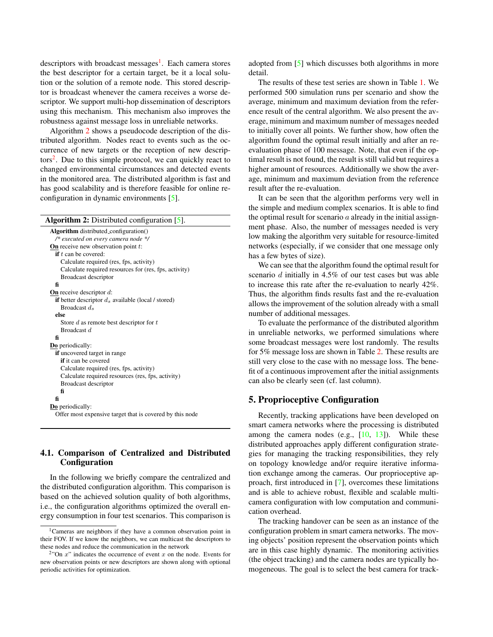<span id="page-3-4"></span>descriptors with broadcast messages<sup>[1](#page-3-1)</sup>. Each camera stores the best descriptor for a certain target, be it a local solution or the solution of a remote node. This stored descriptor is broadcast whenever the camera receives a worse descriptor. We support multi-hop dissemination of descriptors using this mechanism. This mechanism also improves the robustness against message loss in unreliable networks.

Algorithm [2](#page-3-2) shows a pseudocode description of the distributed algorithm. Nodes react to events such as the occurrence of new targets or the reception of new descrip-tors<sup>[2](#page-3-3)</sup>. Due to this simple protocol, we can quickly react to changed environmental circumstances and detected events in the monitored area. The distributed algorithm is fast and has good scalability and is therefore feasible for online reconfiguration in dynamic environments [\[5\]](#page-7-5).

| <b>Algorithm 2:</b> Distributed configuration $\boxed{5}$ .  |
|--------------------------------------------------------------|
| <b>Algorithm</b> distributed_configuration()                 |
| /* executed on every camera node */                          |
| <b>On</b> receive new observation point $t$ :                |
| <b>if</b> $t$ can be covered:                                |
| Calculate required (res, fps, activity)                      |
| Calculate required resources for (res, fps, activity)        |
| Broadcast descriptor                                         |
| fi                                                           |
| <b>On</b> receive descriptor $d$ :                           |
| <b>if</b> better descriptor $d_s$ available (local / stored) |
| Broadcast $d_s$                                              |
| else                                                         |
| Store $d$ as remote best descriptor for $t$                  |
| Broadcast $d$                                                |
| fi                                                           |
| Do periodically:                                             |
| if uncovered target in range                                 |
| <b>if</b> it can be covered                                  |
| Calculate required (res, fps, activity)                      |
| Calculate required resources (res. fps. activity)            |
| Broadcast descriptor                                         |
| fi                                                           |
| fi                                                           |
| Do periodically:                                             |
| Offer most expensive target that is covered by this node     |
|                                                              |

## <span id="page-3-2"></span>4.1. Comparison of Centralized and Distributed **Configuration**

In the following we briefly compare the centralized and the distributed configuration algorithm. This comparison is based on the achieved solution quality of both algorithms, i.e., the configuration algorithms optimized the overall energy consumption in four test scenarios. This comparison is

adopted from [\[5\]](#page-7-5) which discusses both algorithms in more detail.

The results of these test series are shown in Table [1.](#page-4-0) We performed 500 simulation runs per scenario and show the average, minimum and maximum deviation from the reference result of the central algorithm. We also present the average, minimum and maximum number of messages needed to initially cover all points. We further show, how often the algorithm found the optimal result initially and after an reevaluation phase of 100 message. Note, that even if the optimal result is not found, the result is still valid but requires a higher amount of resources. Additionally we show the average, minimum and maximum deviation from the reference result after the re-evaluation.

It can be seen that the algorithm performs very well in the simple and medium complex scenarios. It is able to find the optimal result for scenario  $a$  already in the initial assignment phase. Also, the number of messages needed is very low making the algorithm very suitable for resource-limited networks (especially, if we consider that one message only has a few bytes of size).

We can see that the algorithm found the optimal result for scenario d initially in 4.5% of our test cases but was able to increase this rate after the re-evaluation to nearly 42%. Thus, the algorithm finds results fast and the re-evaluation allows the improvement of the solution already with a small number of additional messages.

To evaluate the performance of the distributed algorithm in unreliable networks, we performed simulations where some broadcast messages were lost randomly. The results for 5% message loss are shown in Table [2.](#page-4-1) These results are still very close to the case with no message loss. The benefit of a continuous improvement after the initial assignments can also be clearly seen (cf. last column).

## <span id="page-3-0"></span>5. Proprioceptive Configuration

Recently, tracking applications have been developed on smart camera networks where the processing is distributed among the camera nodes (e.g.,  $[10, 13]$  $[10, 13]$  $[10, 13]$ ). While these distributed approaches apply different configuration strategies for managing the tracking responsibilities, they rely on topology knowledge and/or require iterative information exchange among the cameras. Our proprioceptive approach, first introduced in [\[7\]](#page-7-6), overcomes these limitations and is able to achieve robust, flexible and scalable multicamera configuration with low computation and communication overhead.

The tracking handover can be seen as an instance of the configuration problem in smart camera networks. The moving objects' position represent the observation points which are in this case highly dynamic. The monitoring activities (the object tracking) and the camera nodes are typically homogeneous. The goal is to select the best camera for track-

<span id="page-3-1"></span><sup>&</sup>lt;sup>1</sup>Cameras are neighbors if they have a common observation point in their FOV. If we know the neighbors, we can multicast the descriptors to these nodes and reduce the communication in the network

<span id="page-3-3"></span> $2$ "On x" indicates the occurrence of event x on the node. Events for new observation points or new descriptors are shown along with optional periodic activities for optimization.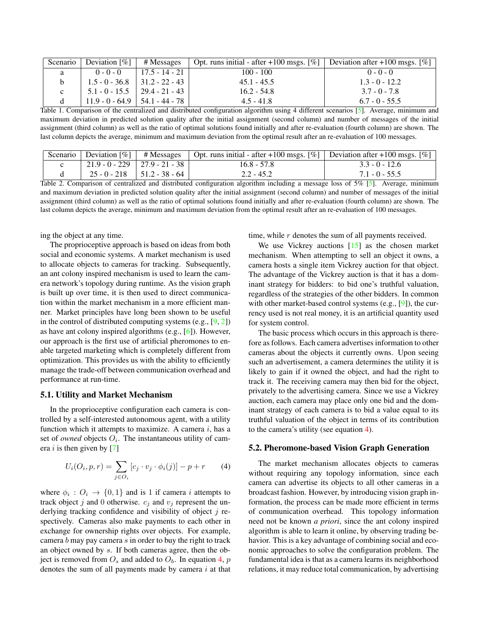<span id="page-4-3"></span>

| Scenario | Deviation $\lceil \% \rceil$ | # Messages                         | Opt. runs initial - after +100 msgs. $[\%]$ | Deviation after $+100$ msgs. [%] |
|----------|------------------------------|------------------------------------|---------------------------------------------|----------------------------------|
| a        | $0 - 0 - 0$                  | $17.5 - 14 - 21$                   | $100 - 100$                                 | $0 - 0 - 0$                      |
|          | $1.5 - 0 - 36.8$             | $ 31.2 - 22 - 43 $                 | $45.1 - 45.5$                               | $1.3 - 0 - 12.2$                 |
|          | $5.1 - 0 - 15.5$             | $\mid$ 29.4 - 21 - 43              | $16.2 - 54.8$                               | $3.7 - 0 - 7.8$                  |
|          |                              | $11.9 - 0 - 64.9$   54.1 - 44 - 78 | $4.5 - 41.8$                                | $6.7 - 0 - 55.5$                 |

<span id="page-4-0"></span>Table 1. Comparison of the centralized and distributed configuration algorithm using 4 different scenarios [\[5\]](#page-7-5). Average, minimum and maximum deviation in predicted solution quality after the initial assignment (second column) and number of messages of the initial assignment (third column) as well as the ratio of optimal solutions found initially and after re-evaluation (fourth column) are shown. The last column depicts the average, minimum and maximum deviation from the optimal result after an re-evaluation of 100 messages.

|  | Scenario   Deviation $\lceil \% \rceil$ | # Messages                      | Opt. runs initial - after +100 msgs. [%]   Deviation after +100 msgs. [%] |                  |
|--|-----------------------------------------|---------------------------------|---------------------------------------------------------------------------|------------------|
|  | $21.9 - 0 - 229$   27.9 - 21 - 38       |                                 | $16.8 - 57.8$                                                             | $3.3 - 0 - 12.6$ |
|  |                                         | $25 - 0 - 218$   51.2 - 38 - 64 | $2.2 - 45.2$                                                              | $7.1 - 0 - 55.5$ |

<span id="page-4-1"></span>Table 2. Comparison of centralized and distributed configuration algorithm including a message loss of 5% [\[5\]](#page-7-5). Average, minimum and maximum deviation in predicted solution quality after the initial assignment (second column) and number of messages of the initial assignment (third column) as well as the ratio of optimal solutions found initially and after re-evaluation (fourth column) are shown. The last column depicts the average, minimum and maximum deviation from the optimal result after an re-evaluation of 100 messages.

ing the object at any time.

The proprioceptive approach is based on ideas from both social and economic systems. A market mechanism is used to allocate objects to cameras for tracking. Subsequently, an ant colony inspired mechanism is used to learn the camera network's topology during runtime. As the vision graph is built up over time, it is then used to direct communication within the market mechanism in a more efficient manner. Market principles have long been shown to be useful in the control of distributed computing systems (e.g.,  $[9, 2]$  $[9, 2]$  $[9, 2]$ ) as have ant colony inspired algorithms (e.g., [\[6\]](#page-7-15)). However, our approach is the first use of artificial pheromones to enable targeted marketing which is completely different from optimization. This provides us with the ability to efficiently manage the trade-off between communication overhead and performance at run-time.

### 5.1. Utility and Market Mechanism

In the proprioceptive configuration each camera is controlled by a self-interested autonomous agent, with a utility function which it attempts to maximize. A camera  $i$ , has a set of *owned* objects  $O_i$ . The instantaneous utility of cam-era i is then given by [\[7\]](#page-7-6)

$$
U_i(O_i, p, r) = \sum_{j \in O_i} [c_j \cdot v_j \cdot \phi_i(j)] - p + r \tag{4}
$$

where  $\phi_i$ :  $O_i \rightarrow \{0,1\}$  and is 1 if camera *i* attempts to track object j and 0 otherwise.  $c_i$  and  $v_j$  represent the underlying tracking confidence and visibility of object  $i$  respectively. Cameras also make payments to each other in exchange for ownership rights over objects. For example, camera  $b$  may pay camera  $s$  in order to buy the right to track an object owned by s. If both cameras agree, then the object is removed from  $O_s$  and added to  $O_b$ . In equation [4,](#page-4-2) p denotes the sum of all payments made by camera  $i$  at that time, while r denotes the sum of all payments received.

We use Vickrey auctions  $[15]$  as the chosen market mechanism. When attempting to sell an object it owns, a camera hosts a single item Vickrey auction for that object. The advantage of the Vickrey auction is that it has a dominant strategy for bidders: to bid one's truthful valuation, regardless of the strategies of the other bidders. In common with other market-based control systems (e.g., [\[9\]](#page-7-13)), the currency used is not real money, it is an artificial quantity used for system control.

The basic process which occurs in this approach is therefore as follows. Each camera advertises information to other cameras about the objects it currently owns. Upon seeing such an advertisement, a camera determines the utility it is likely to gain if it owned the object, and had the right to track it. The receiving camera may then bid for the object, privately to the advertising camera. Since we use a Vickrey auction, each camera may place only one bid and the dominant strategy of each camera is to bid a value equal to its truthful valuation of the object in terms of its contribution to the camera's utility (see equation [4\)](#page-4-2).

#### 5.2. Pheromone-based Vision Graph Generation

<span id="page-4-2"></span>The market mechanism allocates objects to cameras without requiring any topology information, since each camera can advertise its objects to all other cameras in a broadcast fashion. However, by introducing vision graph information, the process can be made more efficient in terms of communication overhead. This topology information need not be known *a priori*, since the ant colony inspired algorithm is able to learn it online, by observing trading behavior. This is a key advantage of combining social and economic approaches to solve the configuration problem. The fundamental idea is that as a camera learns its neighborhood relations, it may reduce total communication, by advertising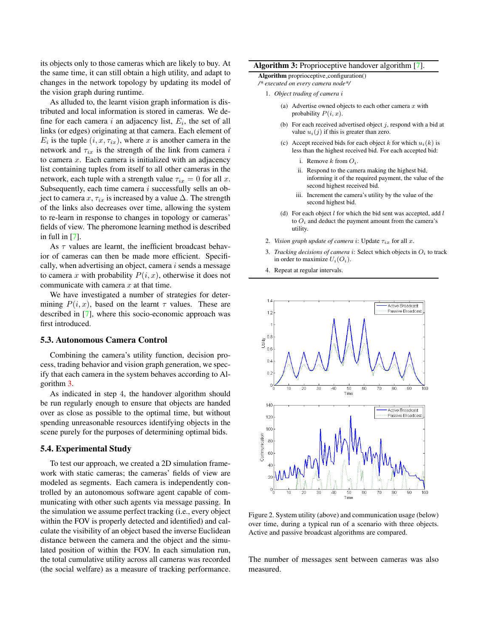<span id="page-5-2"></span>its objects only to those cameras which are likely to buy. At the same time, it can still obtain a high utility, and adapt to changes in the network topology by updating its model of the vision graph during runtime.

As alluded to, the learnt vision graph information is distributed and local information is stored in cameras. We define for each camera i an adjacency list,  $E_i$ , the set of all links (or edges) originating at that camera. Each element of  $E_i$  is the tuple  $(i, x, \tau_{ix})$ , where x is another camera in the network and  $\tau_{ix}$  is the strength of the link from camera i to camera  $x$ . Each camera is initialized with an adjacency list containing tuples from itself to all other cameras in the network, each tuple with a strength value  $\tau_{ix} = 0$  for all x. Subsequently, each time camera  $i$  successfully sells an object to camera x,  $\tau_{ix}$  is increased by a value  $\Delta$ . The strength of the links also decreases over time, allowing the system to re-learn in response to changes in topology or cameras' fields of view. The pheromone learning method is described in full in [\[7\]](#page-7-6).

As  $\tau$  values are learnt, the inefficient broadcast behavior of cameras can then be made more efficient. Specifically, when advertising an object, camera  $i$  sends a message to camera x with probability  $P(i, x)$ , otherwise it does not communicate with camera  $x$  at that time.

We have investigated a number of strategies for determining  $P(i, x)$ , based on the learnt  $\tau$  values. These are described in [\[7\]](#page-7-6), where this socio-economic approach was first introduced.

### 5.3. Autonomous Camera Control

Combining the camera's utility function, decision process, trading behavior and vision graph generation, we specify that each camera in the system behaves according to Algorithm [3.](#page-5-0)

As indicated in step 4, the handover algorithm should be run regularly enough to ensure that objects are handed over as close as possible to the optimal time, but without spending unreasonable resources identifying objects in the scene purely for the purposes of determining optimal bids.

#### 5.4. Experimental Study

To test our approach, we created a 2D simulation framework with static cameras; the cameras' fields of view are modeled as segments. Each camera is independently controlled by an autonomous software agent capable of communicating with other such agents via message passing. In the simulation we assume perfect tracking (i.e., every object within the FOV is properly detected and identified) and calculate the visibility of an object based the inverse Euclidean distance between the camera and the object and the simulated position of within the FOV. In each simulation run, the total cumulative utility across all cameras was recorded (the social welfare) as a measure of tracking performance.

#### Algorithm 3: Proprioceptive handover algorithm [\[7\]](#page-7-6).

Algorithm proprioceptive\_configuration()

*/\* executed on every camera node\*/*

- 1. *Object trading of camera* i
	- (a) Advertise owned objects to each other camera  $x$  with probability  $P(i, x)$ .
	- (b) For each received advertised object  $j$ , respond with a bid at value  $u_i(j)$  if this is greater than zero.
	- (c) Accept received bids for each object k for which  $u_i(k)$  is less than the highest received bid. For each accepted bid:
		- i. Remove k from  $O_i$ .
		- ii. Respond to the camera making the highest bid, informing it of the required payment, the value of the second highest received bid.
		- iii. Increment the camera's utility by the value of the second highest bid.
	- (d) For each object  $l$  for which the bid sent was accepted, add  $l$ to  $O_i$  and deduct the payment amount from the camera's utility.
- 2. *Vision graph update of camera i*: Update  $\tau_{ix}$  for all x.
- 3. *Tracking decisions of camera i*: Select which objects in  $O_i$  to track in order to maximize  $U_i(O_i)$ .
- 4. Repeat at regular intervals.

<span id="page-5-0"></span>

<span id="page-5-1"></span>Figure 2. System utility (above) and communication usage (below) over time, during a typical run of a scenario with three objects. Active and passive broadcast algorithms are compared.

The number of messages sent between cameras was also measured.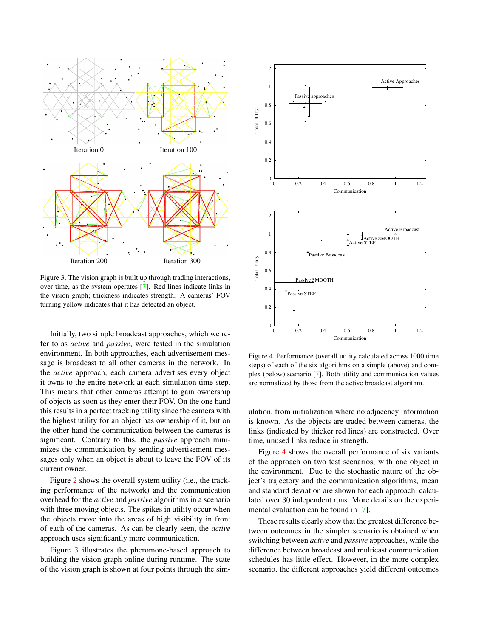<span id="page-6-2"></span>

<span id="page-6-0"></span>Figure 3. The vision graph is built up through trading interactions, over time, as the system operates [\[7\]](#page-7-6). Red lines indicate links in the vision graph; thickness indicates strength. A cameras' FOV turning yellow indicates that it has detected an object.

Initially, two simple broadcast approaches, which we refer to as *active* and *passive*, were tested in the simulation environment. In both approaches, each advertisement message is broadcast to all other cameras in the network. In the *active* approach, each camera advertises every object it owns to the entire network at each simulation time step. This means that other cameras attempt to gain ownership of objects as soon as they enter their FOV. On the one hand this results in a perfect tracking utility since the camera with the highest utility for an object has ownership of it, but on the other hand the communication between the cameras is significant. Contrary to this, the *passive* approach minimizes the communication by sending advertisement messages only when an object is about to leave the FOV of its current owner.

Figure [2](#page-5-1) shows the overall system utility (i.e., the tracking performance of the network) and the communication overhead for the *active* and *passive* algorithms in a scenario with three moving objects. The spikes in utility occur when the objects move into the areas of high visibility in front of each of the cameras. As can be clearly seen, the *active* approach uses significantly more communication.

Figure [3](#page-6-0) illustrates the pheromone-based approach to building the vision graph online during runtime. The state of the vision graph is shown at four points through the sim-



<span id="page-6-1"></span>Figure 4. Performance (overall utility calculated across 1000 time steps) of each of the six algorithms on a simple (above) and complex (below) scenario [\[7\]](#page-7-6). Both utility and communication values are normalized by those from the active broadcast algorithm.

ulation, from initialization where no adjacency information is known. As the objects are traded between cameras, the links (indicated by thicker red lines) are constructed. Over time, unused links reduce in strength.

Figure [4](#page-6-1) shows the overall performance of six variants of the approach on two test scenarios, with one object in the environment. Due to the stochastic nature of the object's trajectory and the communication algorithms, mean and standard deviation are shown for each approach, calculated over 30 independent runs. More details on the experimental evaluation can be found in [\[7\]](#page-7-6).

These results clearly show that the greatest difference between outcomes in the simpler scenario is obtained when switching between *active* and *passive* approaches, while the difference between broadcast and multicast communication schedules has little effect. However, in the more complex scenario, the different approaches yield different outcomes